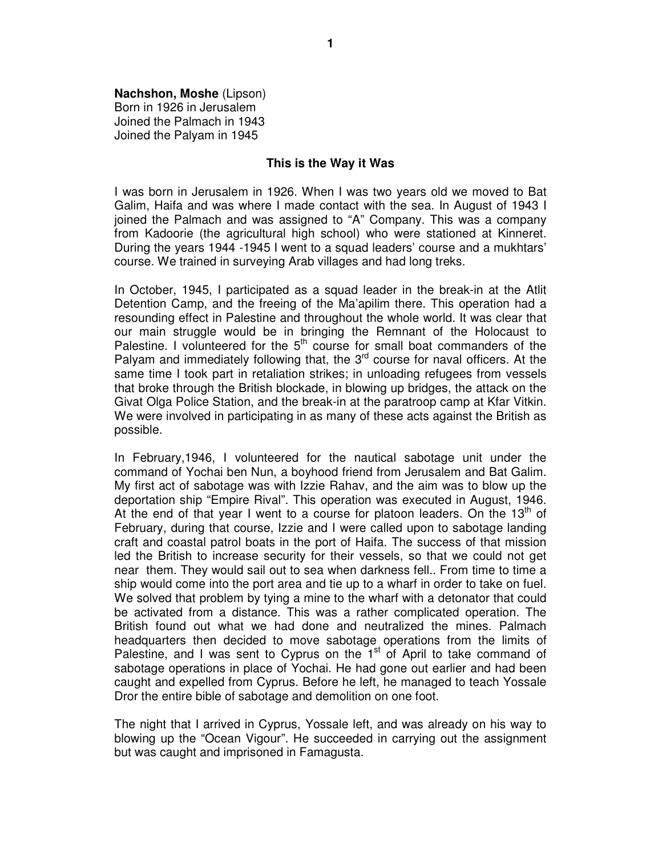**Nachshon, Moshe** (Lipson) Born in 1926 in Jerusalem Joined the Palmach in 1943 Joined the Palyam in 1945

## **This is the Way it Was**

I was born in Jerusalem in 1926. When I was two years old we moved to Bat Galim, Haifa and was where I made contact with the sea. In August of 1943 I joined the Palmach and was assigned to "A" Company. This was a company from Kadoorie (the agricultural high school) who were stationed at Kinneret. During the years 1944 -1945 I went to a squad leaders' course and a mukhtars' course. We trained in surveying Arab villages and had long treks.

In October, 1945, I participated as a squad leader in the break-in at the Atlit Detention Camp, and the freeing of the Ma'apilim there. This operation had a resounding effect in Palestine and throughout the whole world. It was clear that our main struggle would be in bringing the Remnant of the Holocaust to Palestine. I volunteered for the  $5<sup>th</sup>$  course for small boat commanders of the Palyam and immediately following that, the 3<sup>rd</sup> course for naval officers. At the same time I took part in retaliation strikes; in unloading refugees from vessels that broke through the British blockade, in blowing up bridges, the attack on the Givat Olga Police Station, and the break-in at the paratroop camp at Kfar Vitkin. We were involved in participating in as many of these acts against the British as possible.

In February,1946, I volunteered for the nautical sabotage unit under the command of Yochai ben Nun, a boyhood friend from Jerusalem and Bat Galim. My first act of sabotage was with Izzie Rahav, and the aim was to blow up the deportation ship "Empire Rival". This operation was executed in August, 1946. At the end of that year I went to a course for platoon leaders. On the  $13<sup>th</sup>$  of February, during that course, Izzie and I were called upon to sabotage landing craft and coastal patrol boats in the port of Haifa. The success of that mission led the British to increase security for their vessels, so that we could not get near them. They would sail out to sea when darkness fell.. From time to time a ship would come into the port area and tie up to a wharf in order to take on fuel. We solved that problem by tying a mine to the wharf with a detonator that could be activated from a distance. This was a rather complicated operation. The British found out what we had done and neutralized the mines. Palmach headquarters then decided to move sabotage operations from the limits of Palestine, and I was sent to Cyprus on the  $1<sup>st</sup>$  of April to take command of sabotage operations in place of Yochai. He had gone out earlier and had been caught and expelled from Cyprus. Before he left, he managed to teach Yossale Dror the entire bible of sabotage and demolition on one foot.

The night that I arrived in Cyprus, Yossale left, and was already on his way to blowing up the "Ocean Vigour". He succeeded in carrying out the assignment but was caught and imprisoned in Famagusta.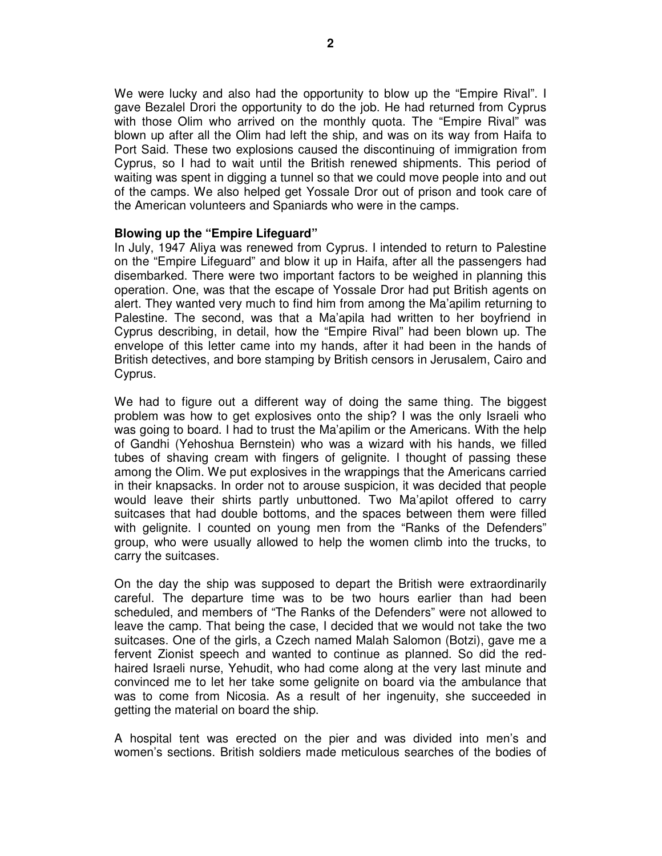We were lucky and also had the opportunity to blow up the "Empire Rival". I gave Bezalel Drori the opportunity to do the job. He had returned from Cyprus with those Olim who arrived on the monthly quota. The "Empire Rival" was blown up after all the Olim had left the ship, and was on its way from Haifa to Port Said. These two explosions caused the discontinuing of immigration from Cyprus, so I had to wait until the British renewed shipments. This period of waiting was spent in digging a tunnel so that we could move people into and out of the camps. We also helped get Yossale Dror out of prison and took care of the American volunteers and Spaniards who were in the camps.

## **Blowing up the "Empire Lifeguard"**

In July, 1947 Aliya was renewed from Cyprus. I intended to return to Palestine on the "Empire Lifeguard" and blow it up in Haifa, after all the passengers had disembarked. There were two important factors to be weighed in planning this operation. One, was that the escape of Yossale Dror had put British agents on alert. They wanted very much to find him from among the Ma'apilim returning to Palestine. The second, was that a Ma'apila had written to her boyfriend in Cyprus describing, in detail, how the "Empire Rival" had been blown up. The envelope of this letter came into my hands, after it had been in the hands of British detectives, and bore stamping by British censors in Jerusalem, Cairo and Cyprus.

We had to figure out a different way of doing the same thing. The biggest problem was how to get explosives onto the ship? I was the only Israeli who was going to board. I had to trust the Ma'apilim or the Americans. With the help of Gandhi (Yehoshua Bernstein) who was a wizard with his hands, we filled tubes of shaving cream with fingers of gelignite. I thought of passing these among the Olim. We put explosives in the wrappings that the Americans carried in their knapsacks. In order not to arouse suspicion, it was decided that people would leave their shirts partly unbuttoned. Two Ma'apilot offered to carry suitcases that had double bottoms, and the spaces between them were filled with gelignite. I counted on young men from the "Ranks of the Defenders" group, who were usually allowed to help the women climb into the trucks, to carry the suitcases.

On the day the ship was supposed to depart the British were extraordinarily careful. The departure time was to be two hours earlier than had been scheduled, and members of "The Ranks of the Defenders" were not allowed to leave the camp. That being the case, I decided that we would not take the two suitcases. One of the girls, a Czech named Malah Salomon (Botzi), gave me a fervent Zionist speech and wanted to continue as planned. So did the redhaired Israeli nurse, Yehudit, who had come along at the very last minute and convinced me to let her take some gelignite on board via the ambulance that was to come from Nicosia. As a result of her ingenuity, she succeeded in getting the material on board the ship.

A hospital tent was erected on the pier and was divided into men's and women's sections. British soldiers made meticulous searches of the bodies of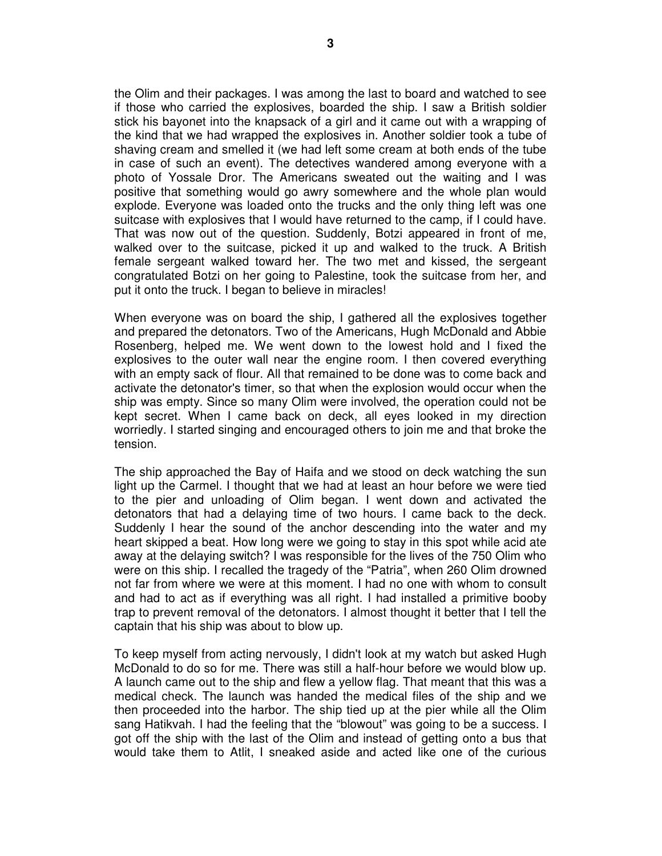the Olim and their packages. I was among the last to board and watched to see if those who carried the explosives, boarded the ship. I saw a British soldier stick his bayonet into the knapsack of a girl and it came out with a wrapping of the kind that we had wrapped the explosives in. Another soldier took a tube of shaving cream and smelled it (we had left some cream at both ends of the tube in case of such an event). The detectives wandered among everyone with a photo of Yossale Dror. The Americans sweated out the waiting and I was positive that something would go awry somewhere and the whole plan would explode. Everyone was loaded onto the trucks and the only thing left was one suitcase with explosives that I would have returned to the camp, if I could have. That was now out of the question. Suddenly, Botzi appeared in front of me, walked over to the suitcase, picked it up and walked to the truck. A British female sergeant walked toward her. The two met and kissed, the sergeant congratulated Botzi on her going to Palestine, took the suitcase from her, and put it onto the truck. I began to believe in miracles!

When everyone was on board the ship, I gathered all the explosives together and prepared the detonators. Two of the Americans, Hugh McDonald and Abbie Rosenberg, helped me. We went down to the lowest hold and I fixed the explosives to the outer wall near the engine room. I then covered everything with an empty sack of flour. All that remained to be done was to come back and activate the detonator's timer, so that when the explosion would occur when the ship was empty. Since so many Olim were involved, the operation could not be kept secret. When I came back on deck, all eyes looked in my direction worriedly. I started singing and encouraged others to join me and that broke the tension.

The ship approached the Bay of Haifa and we stood on deck watching the sun light up the Carmel. I thought that we had at least an hour before we were tied to the pier and unloading of Olim began. I went down and activated the detonators that had a delaying time of two hours. I came back to the deck. Suddenly I hear the sound of the anchor descending into the water and my heart skipped a beat. How long were we going to stay in this spot while acid ate away at the delaying switch? I was responsible for the lives of the 750 Olim who were on this ship. I recalled the tragedy of the "Patria", when 260 Olim drowned not far from where we were at this moment. I had no one with whom to consult and had to act as if everything was all right. I had installed a primitive booby trap to prevent removal of the detonators. I almost thought it better that I tell the captain that his ship was about to blow up.

To keep myself from acting nervously, I didn't look at my watch but asked Hugh McDonald to do so for me. There was still a half-hour before we would blow up. A launch came out to the ship and flew a yellow flag. That meant that this was a medical check. The launch was handed the medical files of the ship and we then proceeded into the harbor. The ship tied up at the pier while all the Olim sang Hatikvah. I had the feeling that the "blowout" was going to be a success. I got off the ship with the last of the Olim and instead of getting onto a bus that would take them to Atlit, I sneaked aside and acted like one of the curious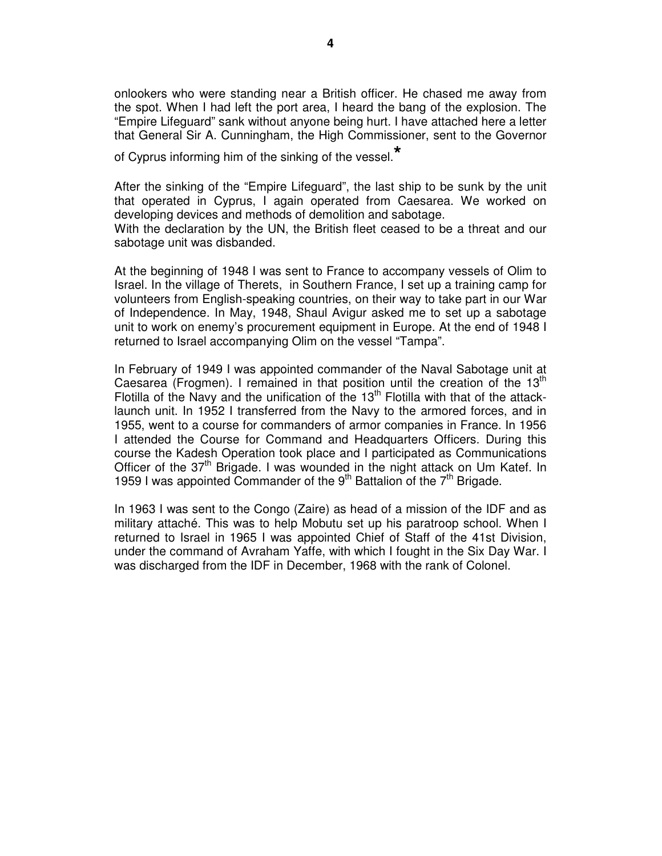onlookers who were standing near a British officer. He chased me away from the spot. When I had left the port area, I heard the bang of the explosion. The "Empire Lifeguard" sank without anyone being hurt. I have attached here a letter that General Sir A. Cunningham, the High Commissioner, sent to the Governor

of Cyprus informing him of the sinking of the vessel.**\***

After the sinking of the "Empire Lifeguard", the last ship to be sunk by the unit that operated in Cyprus, I again operated from Caesarea. We worked on developing devices and methods of demolition and sabotage. With the declaration by the UN, the British fleet ceased to be a threat and our sabotage unit was disbanded.

At the beginning of 1948 I was sent to France to accompany vessels of Olim to Israel. In the village of Therets, in Southern France, I set up a training camp for volunteers from English-speaking countries, on their way to take part in our War of Independence. In May, 1948, Shaul Avigur asked me to set up a sabotage unit to work on enemy's procurement equipment in Europe. At the end of 1948 I returned to Israel accompanying Olim on the vessel "Tampa".

In February of 1949 I was appointed commander of the Naval Sabotage unit at Caesarea (Frogmen). I remained in that position until the creation of the 13<sup>th</sup> Flotilla of the Navy and the unification of the  $13<sup>th</sup>$  Flotilla with that of the attacklaunch unit. In 1952 I transferred from the Navy to the armored forces, and in 1955, went to a course for commanders of armor companies in France. In 1956 I attended the Course for Command and Headquarters Officers. During this course the Kadesh Operation took place and I participated as Communications Officer of the 37<sup>th</sup> Brigade. I was wounded in the night attack on Um Katef. In 1959 I was appointed Commander of the 9<sup>th</sup> Battalion of the  $7<sup>th</sup>$  Brigade.

In 1963 I was sent to the Congo (Zaire) as head of a mission of the IDF and as military attaché. This was to help Mobutu set up his paratroop school. When I returned to Israel in 1965 I was appointed Chief of Staff of the 41st Division, under the command of Avraham Yaffe, with which I fought in the Six Day War. I was discharged from the IDF in December, 1968 with the rank of Colonel.